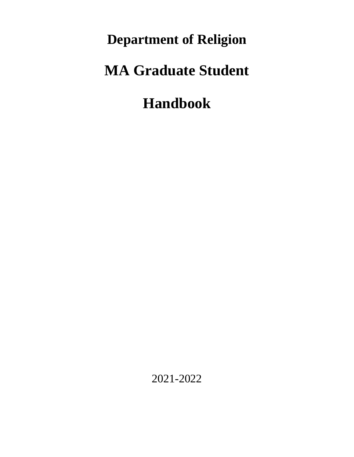**Department of Religion** 

# **MA Graduate Student**

# **Handbook**

2021-2022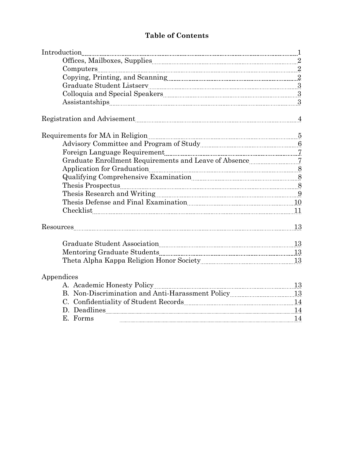# **Table of Contents**

| $\label{eq:1} Introduction_{\textcolor{red}{\textbf{[introduction_1]}}, \textcolor{red}{\textbf{[introduction_1]}}}.$                                                                                                                                                                                                                                                                                                                                                                                                                                                                                                                |    |
|--------------------------------------------------------------------------------------------------------------------------------------------------------------------------------------------------------------------------------------------------------------------------------------------------------------------------------------------------------------------------------------------------------------------------------------------------------------------------------------------------------------------------------------------------------------------------------------------------------------------------------------|----|
|                                                                                                                                                                                                                                                                                                                                                                                                                                                                                                                                                                                                                                      |    |
| $\label{eq:complex} \text{Computers} \underline{\hfill\ldots} \underline{\hfill\ldots} \underline{\hfill\ldots} \underline{\hfill\ldots} \underline{\hfill\ldots} \underline{\hfill\ldots} \underline{\hfill\ldots} \underline{\hfill\ldots} \underline{\hfill\ldots} \underline{\hfill\ldots} \underline{\hfill\ldots} \underline{\hfill\ldots} \underline{\hfill\ldots} \underline{\hfill\ldots} \underline{\hfill\ldots} \underline{\hfill\ldots} \underline{\hfill\ldots} \underline{\hfill\ldots} \underline{\hfill\ldots} \underline{\hfill\ldots} \underline{\hfill\ldots} \underline{\hfill\ldots} \underline{\hfill\ldots}$ |    |
|                                                                                                                                                                                                                                                                                                                                                                                                                                                                                                                                                                                                                                      |    |
|                                                                                                                                                                                                                                                                                                                                                                                                                                                                                                                                                                                                                                      |    |
|                                                                                                                                                                                                                                                                                                                                                                                                                                                                                                                                                                                                                                      |    |
|                                                                                                                                                                                                                                                                                                                                                                                                                                                                                                                                                                                                                                      |    |
| Registration and Advisement Material Communications and Advisement Material Communications and Advisement Material Communications and Advisement Material Communications and Advisement Material Communications and Advisement                                                                                                                                                                                                                                                                                                                                                                                                       |    |
|                                                                                                                                                                                                                                                                                                                                                                                                                                                                                                                                                                                                                                      |    |
|                                                                                                                                                                                                                                                                                                                                                                                                                                                                                                                                                                                                                                      |    |
|                                                                                                                                                                                                                                                                                                                                                                                                                                                                                                                                                                                                                                      |    |
|                                                                                                                                                                                                                                                                                                                                                                                                                                                                                                                                                                                                                                      |    |
| Application for Graduation Material Contract Barriers and Strategy Barriers and Strategy Barriers and Strategy B                                                                                                                                                                                                                                                                                                                                                                                                                                                                                                                     |    |
|                                                                                                                                                                                                                                                                                                                                                                                                                                                                                                                                                                                                                                      |    |
|                                                                                                                                                                                                                                                                                                                                                                                                                                                                                                                                                                                                                                      |    |
|                                                                                                                                                                                                                                                                                                                                                                                                                                                                                                                                                                                                                                      |    |
|                                                                                                                                                                                                                                                                                                                                                                                                                                                                                                                                                                                                                                      |    |
| Checklist 11                                                                                                                                                                                                                                                                                                                                                                                                                                                                                                                                                                                                                         |    |
|                                                                                                                                                                                                                                                                                                                                                                                                                                                                                                                                                                                                                                      |    |
|                                                                                                                                                                                                                                                                                                                                                                                                                                                                                                                                                                                                                                      |    |
|                                                                                                                                                                                                                                                                                                                                                                                                                                                                                                                                                                                                                                      |    |
|                                                                                                                                                                                                                                                                                                                                                                                                                                                                                                                                                                                                                                      |    |
| Appendices                                                                                                                                                                                                                                                                                                                                                                                                                                                                                                                                                                                                                           |    |
| $\frac{13}{11}$                                                                                                                                                                                                                                                                                                                                                                                                                                                                                                                                                                                                                      |    |
| B. Non-Discrimination and Anti-Harassment Policy [13] 13                                                                                                                                                                                                                                                                                                                                                                                                                                                                                                                                                                             |    |
|                                                                                                                                                                                                                                                                                                                                                                                                                                                                                                                                                                                                                                      |    |
| D. Deadlines 14                                                                                                                                                                                                                                                                                                                                                                                                                                                                                                                                                                                                                      |    |
| E. Forms                                                                                                                                                                                                                                                                                                                                                                                                                                                                                                                                                                                                                             | 14 |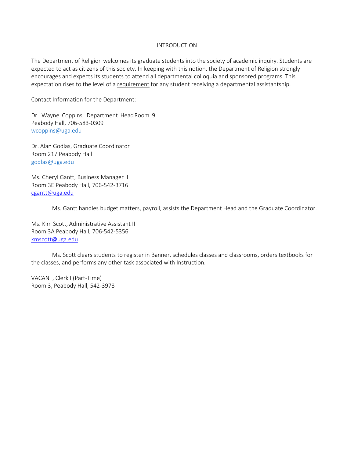#### INTRODUCTION

The Department of Religion welcomes its graduate students into the society of academic inquiry. Students are expected to act as citizens of this society. In keeping with this notion, the Department of Religion strongly encourages and expects its students to attend all departmental colloquia and sponsored programs. This expectation rises to the level of a requirement for any student receiving a departmental assistantship.

Contact Information for the Department:

Dr. Wayne Coppins, Department HeadRoom 9 Peabody Hall, 706-583-0309 [wcoppins@uga.edu](mailto:wcoppins@uga.edu)

Dr. Alan Godlas, Graduate Coordinator Room 217 Peabody Hall [godlas@uga.edu](mailto:godlas@uga.edu)

Ms. Cheryl Gantt, Business Manager II Room 3E Peabody Hall, 706-542-3716 [cgantt@uga.edu](mailto:cgantt@uga.edu)

Ms. Gantt handles budget matters, payroll, assists the Department Head and the Graduate Coordinator.

Ms. Kim Scott, Administrative Assistant II Room 3A Peabody Hall, 706-542-5356 [kmscott@uga.edu](mailto:kmscott@uga.edu)

Ms. Scott clears students to register in Banner, schedules classes and classrooms, orders textbooks for the classes, and performs any other task associated with Instruction.

VACANT, Clerk I (Part-Time) Room 3, Peabody Hall, 542-3978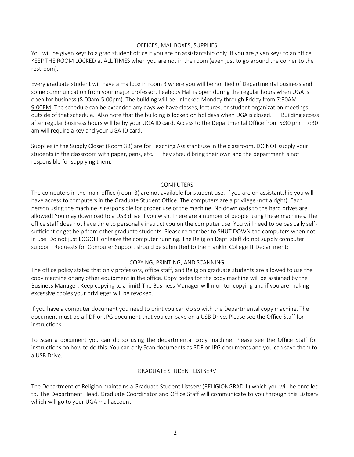#### OFFICES, MAILBOXES, SUPPLIES

You will be given keys to a grad student office if you are on assistantship only. If you are given keys to an office, KEEP THE ROOM LOCKED at ALL TIMES when you are not in the room (even just to go around the corner to the restroom).

Every graduate student will have a mailbox in room 3 where you will be notified of Departmental business and some communication from your major professor. Peabody Hall is open during the regular hours when UGA is open for business (8:00am-5:00pm). The building will be unlocked Monday through Friday from 7:30AM - 9:00PM. The schedule can be extended any days we have classes, lectures, or student organization meetings outside of that schedule. Also note that the building is locked on holidays when UGAis closed. Building access after regular business hours will be by your UGA ID card. Access to the Departmental Office from 5:30 pm – 7:30 am will require a key and your UGA ID card.

Supplies in the Supply Closet (Room 3B) are for Teaching Assistant use in the classroom. DO NOT supply your students in the classroom with paper, pens, etc. They should bring their own and the department is not responsible for supplying them.

#### **COMPUTERS**

The computers in the main office (room 3) are not available for student use. If you are on assistantship you will have access to computers in the Graduate Student Office. The computers are a privilege (not a right). Each person using the machine is responsible for proper use of the machine. No downloads to the hard drives are allowed! You may download to a USB drive if you wish. There are a number of people using these machines. The office staff does not have time to personally instruct you on the computer use. You will need to be basically selfsufficient or get help from other graduate students. Please remember to SHUT DOWN the computers when not in use. Do not just LOGOFF or leave the computer running. The Religion Dept. staff do not supply computer support. Requests for Computer Support should be submitted to the Franklin College IT Department:

#### COPYING, PRINTING, AND SCANNING

The office policy states that only professors, office staff, and Religion graduate students are allowed to use the copy machine or any other equipment in the office. Copy codes for the copy machine will be assigned by the Business Manager. Keep copying to a limit! The Business Manager will monitor copying and if you are making excessive copies your privileges will be revoked.

If you have a computer document you need to print you can do so with the Departmental copy machine. The document must be a PDF or JPG document that you can save on a USB Drive. Please see the Office Staff for instructions.

To Scan a document you can do so using the departmental copy machine. Please see the Office Staff for instructions on how to do this. You can only Scan documents as PDF or JPG documents and you can save them to a USB Drive.

#### GRADUATE STUDENT LISTSERV

The Department of Religion maintains a Graduate Student Listserv (RELIGIONGRAD-L) which you will be enrolled to. The Department Head, Graduate Coordinator and Office Staff will communicate to you through this Listserv which will go to your UGA mail account.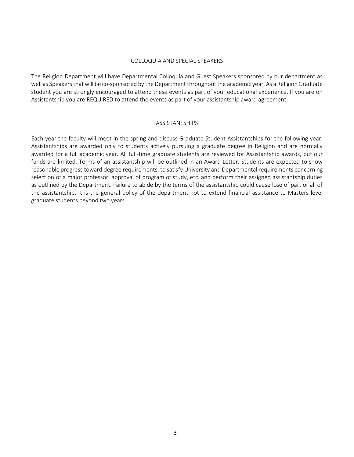#### COLLOQUIA AND SPECIAL SPEAKERS

The Religion Department will have Departmental Colloquia and Guest Speakers sponsored by our department as well as Speakers that will be co-sponsored by the Department throughout the academic year. As a Religion Graduate student you are strongly encouraged to attend these events as part of your educational experience. If you are on Assistantship you are REQUIRED to attend the events as part of your assistantship award agreement.

#### ASSISTANTSHIPS

Each year the faculty will meet in the spring and discuss Graduate Student Assistantships for the following year. Assistantships are awarded only to students actively pursuing a graduate degree in Religion and are normally awarded for a full academic year. All full-time graduate students are reviewed for Assistantship awards, but our funds are limited. Terms of an assistantship will be outlined in an Award Letter. Students are expected to show reasonable progress toward degree requirements, to satisfy University and Departmental requirements concerning selection of a major professor, approval of program of study, etc. and perform their assigned assistantship duties as outlined by the Department. Failure to abide by the terms of the assistantship could cause lose of part or all of the assistantship. It is the general policy of the department not to extend financial assistance to Masters level graduate students beyond two years.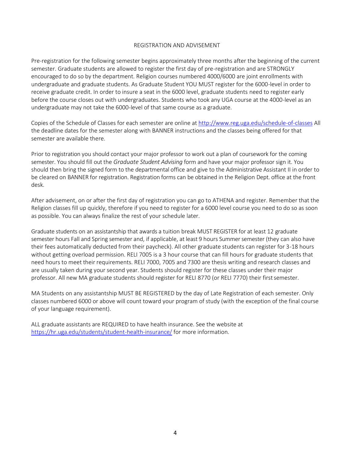#### REGISTRATION AND ADVISEMENT

Pre-registration for the following semester begins approximately three months after the beginning of the current semester. Graduate students are allowed to register the first day of pre-registration and are STRONGLY encouraged to do so by the department. Religion courses numbered 4000/6000 are joint enrollments with undergraduate and graduate students. As Graduate Student YOU MUST register for the 6000-level in order to receive graduate credit. In order to insure a seat in the 6000 level, graduate students need to register early before the course closes out with undergraduates. Students who took any UGA course at the 4000-level as an undergraduate may not take the 6000-level of that same course as a graduate.

Copies of the Schedule of Classes for each semester are online at<http://www.reg.uga.edu/schedule-of-classes> All the deadline dates for the semester along with BANNER instructions and the classes being offered for that semester are available there.

Prior to registration you should contact your major professor to work out a plan of coursework for the coming semester. You should fill out the *Graduate Student Advising* form and have your major professor sign it. You should then bring the signed form to the departmental office and give to the Administrative Assistant II in order to be cleared on BANNER for registration. Registration forms can be obtained in the Religion Dept. office at the front desk.

After advisement, on or after the first day of registration you can go to ATHENA and register. Remember that the Religion classes fill up quickly, therefore if you need to register for a 6000 level course you need to do so as soon as possible. You can always finalize the rest of your schedule later.

Graduate students on an assistantship that awards a tuition break MUST REGISTER for at least 12 graduate semester hours Fall and Spring semester and, if applicable, at least 9 hours Summersemester (they can also have their fees automatically deducted from their paycheck). All other graduate students can register for 3-18 hours without getting overload permission. RELI 7005 is a 3 hour course that can fill hours for graduate students that need hours to meet their requirements. RELI 7000, 7005 and 7300 are thesis writing and research classes and are usually taken during your second year. Students should register for these classes under their major professor. All new MA graduate students should register for RELI 8770 (or RELI 7770) their firstsemester.

MA Students on any assistantship MUST BE REGISTERED by the day of Late Registration of each semester. Only classes numbered 6000 or above will count toward your program of study (with the exception of the final course of your language requirement).

ALL graduate assistants are REQUIRED to have health insurance. See the website at <https://hr.uga.edu/students/student-health-insurance/> for more information.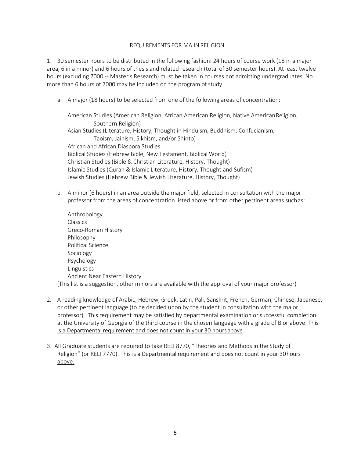#### REQUIREMENTS FOR MA IN RELIGION

1. 30 semester hours to be distributed in the following fashion: 24 hours of course work (18 in a major area, 6 in a minor) and 6 hours of thesis and related research (total of 30 semester hours). At least twelve hours (excluding 7000 -- Master's Research) must be taken in courses not admitting undergraduates. No more than 6 hours of 7000 may be included on the program of study.

a. A major (18 hours) to be selected from one of the following areas of concentration:

American Studies (American Religion, African American Religion, Native AmericanReligion, Southern Religion) Asian Studies (Literature, History, Thought in Hinduism, Buddhism, Confucianism, Taoism, Jainism, Sikhism, and/or Shinto) African and African Diaspora Studies Biblical Studies (Hebrew Bible, New Testament, Biblical World) Christian Studies (Bible & Christian Literature, History, Thought) Islamic Studies (Quran & Islamic Literature, History, Thought and Sufism) Jewish Studies (Hebrew Bible & Jewish Literature, History, Thought)

- b. A minor (6 hours) in an area outside the major field, selected in consultation with the major professor from the areas of concentration listed above or from other pertinent areas suchas:
- Anthropology Classics Greco-Roman History Philosophy Political Science Sociology Psychology Linguistics Ancient Near Eastern History (This list is a suggestion, other minors are available with the approval of your major professor)
- 2. A reading knowledge of Arabic, Hebrew, Greek, Latin, Pali, Sanskrit, French, German, Chinese, Japanese, or other pertinent language (to be decided upon by the student in consultation with the major professor). This requirement may be satisfied by departmental examination or successful completion at the University of Georgia of the third course in the chosen language with a grade of B or above. This is a Departmental requirement and does not count in your 30 hoursabove.
- 3. All Graduate students are required to take RELI 8770, "Theories and Methods in the Study of Religion" (or RELI 7770). This is a Departmental requirement and does not count in your 30hours above.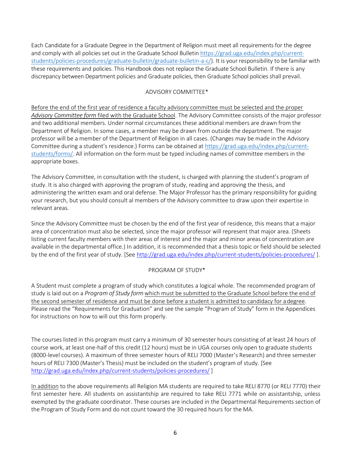Each Candidate for a Graduate Degree in the Department of Religion must meet all requirements for the degree and comply with all policies set out in the Graduate School Bulleti[n https://grad.uga.edu/index.php/current](https://grad.uga.edu/index.php/current-students/policies-procedures/graduate-bulletin/graduate-bulletin-a-c/)[students/policies-procedures/graduate-bulletin/graduate-bulletin-a-c/\)](https://grad.uga.edu/index.php/current-students/policies-procedures/graduate-bulletin/graduate-bulletin-a-c/). It is your responsibility to be familiar with these requirements and policies. This Handbook does not replace the Graduate School Bulletin. If there is any discrepancy between Department policies and Graduate policies, then Graduate School policies shall prevail.

# ADVISORY COMMITTEE\*

Before the end of the first year of residence a faculty advisory committee must be selected and the proper *Advisory Committee form* filed with the Graduate School. The Advisory Committee consists of the major professor and two additional members. Under normal circumstances these additional members are drawn from the Department of Religion. In some cases, a member may be drawn from outside the department. The major professor will be a member of the Department of Religion in all cases. (Changes may be made in the Advisory Committee during a student's residence.) Forms can be obtained at [https://grad.uga.edu/index.php/current](https://grad.uga.edu/index.php/current-students/forms/)[students/forms/.](https://grad.uga.edu/index.php/current-students/forms/) All information on the form must be typed including names of committee members in the appropriate boxes.

The Advisory Committee, in consultation with the student, is charged with planning the student's program of study. It is also charged with approving the program of study, reading and approving the thesis, and administering the written exam and oral defense. The Major Professor has the primary responsibility for guiding your research, but you should consult al members of the Advisory committee to draw upon their expertise in relevant areas.

Since the Advisory Committee must be chosen by the end of the first year of residence, this means that a major area of concentration must also be selected, since the major professor will represent that major area. (Sheets listing current faculty members with their areas of interest and the major and minor areas of concentration are available in the departmental office.) In addition, it is recommended that a thesis topic or field should be selected by the end of the first year of study. [See<http://grad.uga.edu/index.php/current-students/policies-procedures/> ].

# PROGRAM OF STUDY\*

A Student must complete a program of study which constitutes a logical whole. The recommended program of study is laid out on a *Program of Study form* which must be submitted to the Graduate School before the end of the second semester of residence and must be done before a student is admitted to candidacy for adegree. Please read the "Requirements for Graduation" and see the sample "Program of Study" form in the Appendices for instructions on how to will out this form properly.

The courses listed in this program must carry a minimum of 30 semester hours consisting of at least 24 hours of course work, at least one-half of this credit (12 hours) must be in UGA courses only open to graduate students (8000-level courses). A maximum of three semester hours of RELI 7000 (Master's Research) and three semester hours of RELI 7300 (Master's Thesis) must be included on the student's program of study. [See <http://grad.uga.edu/index.php/current-students/policies-procedures/> ]

In addition to the above requirements all Religion MA students are required to take RELI 8770 (or RELI 7770) their first semester here. All students on assistantship are required to take RELI 7771 while on assistantship, unless exempted by the graduate coordinator. These courses are included in the Departmental Requirements section of the Program of Study Form and do not count toward the 30 required hours for the MA.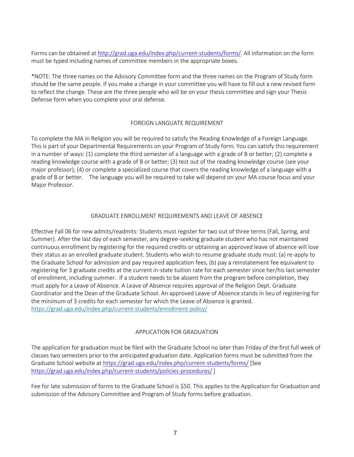Forms can be obtained at [http://grad.uga.edu/index.php/current-students/forms/.](http://grad.uga.edu/index.php/current-students/forms/) All information on the form must be typed including names of committee members in the appropriate boxes.

\*NOTE: The three names on the Advisory Committee form and the three names on the Program of Study form should be the same people. If you make a change in your committee you will have to fill out a new revised form to reflect the change. These are the three people who will be on your thesis committee and sign your Thesis Defense form when you complete your oral defense.

# FOREIGN LANGUATE REQUIREMENT

To complete the MA in Religion you will be required to satisfy the Reading Knowledge of a Foreign Language. This is part of your Departmental Requirements on your Program of Study form. You can satisfy this requirement in a number of ways: (1) complete the third semester of a language with a grade of B or better; (2) complete a reading knowledge course with a grade of B or better; (3) test out of the reading knowledge course (see your major professor); (4) or complete a specialized course that covers the reading knowledge of a language with a grade of B or better. The language you will be required to take will depend on your MA course focus and your Major Professor.

# GRADUATE ENROLLMENT REQUIREMENTS AND LEAVE OF ABSENCE

Effective Fall 06 for new admits/readmits: Students must register for two out of three terms (Fall, Spring, and Summer). After the last day of each semester, any degree-seeking graduate student who has not maintained continuous enrollment by registering for the required credits or obtaining an approved leave of absence will lose their status as an enrolled graduate student. Students who wish to resume graduate study must: (a) re-apply to the Graduate School for admission and pay required application fees, (b) pay a reinstatement fee equivalent to registering for 3 graduate credits at the current in-state tuition rate for each semester since her/his last semester of enrollment, including summer. If a student needs to be absent from the program before completion, they must apply for a Leave of Absence. A Leave of Absence requires approval of the Religion Dept. Graduate Coordinator and the Dean of the Graduate School. An approved Leave of Absence stands in lieu of registering for the minimum of 3 credits for each semester for which the Leave of Absence is granted. <https://grad.uga.edu/index.php/current-students/enrollment-policy/>

# APPLICATION FOR GRADUATION

The application for graduation must be filed with the Graduate School no later than Friday of the first full week of classes two semesters prior to the anticipated graduation date. Application forms must be submitted from the Graduate School website at [https://grad.uga.edu/index.php/current-students/forms/](http://grad.uga.edu/index.php/current-students/forms/) [See [https://grad.uga.edu/index.php/current-students/policies-procedures/](http://grad.uga.edu/index.php/current-students/policies-procedures/) ]

Fee for late submission of forms to the Graduate School is \$50. This applies to the Application for Graduation and submission of the Advisory Committee and Program of Study forms before graduation.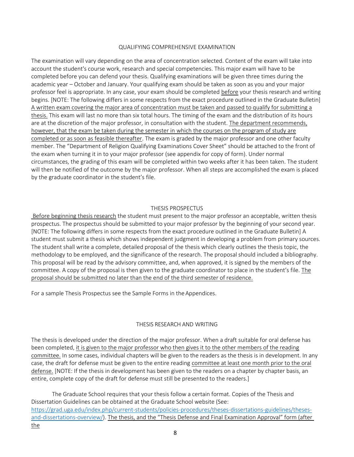#### QUALIFYING COMPREHENSIVE EXAMINATION

The examination will vary depending on the area of concentration selected. Content of the exam will take into account the student's course work, research and special competencies. This major exam will have to be completed before you can defend your thesis. Qualifying examinations will be given three times during the academic year – October and January. Your qualifying exam should be taken as soon as you and your major professor feel is appropriate. In any case, your exam should be completed before your thesis research and writing begins. [NOTE: The following differs in some respects from the exact procedure outlined in the Graduate Bulletin] A written exam covering the major area of concentration must be taken and passed to qualify for submitting a thesis. This exam will last no more than six total hours. The timing of the exam and the distribution of its hours are at the discretion of the major professor, in consultation with the student. The department recommends, however, that the exam be taken during the semester in which the courses on the program of study are completed or as soon as feasible thereafter. The exam is graded by the major professor and one other faculty member. The "Department of Religion Qualifying Examinations Cover Sheet" should be attached to the front of the exam when turning it in to your major professor (see appendix for copy of form). Under normal circumstances, the grading of this exam will be completed within two weeks after it has been taken. The student will then be notified of the outcome by the major professor. When all steps are accomplished the exam is placed by the graduate coordinator in the student's file.

#### THESIS PROSPECTUS

Before beginning thesis research the student must present to the major professor an acceptable, written thesis prospectus. The prospectus should be submitted to your major professor by the beginning of your second year. [NOTE: The following differs in some respects from the exact procedure outlined in the Graduate Bulletin] A student must submit a thesis which shows independent judgment in developing a problem from primary sources. The student shall write a complete, detailed proposal of the thesis which clearly outlines the thesis topic, the methodology to be employed, and the significance of the research. The proposal should included a bibliography. This proposal will be read by the advisory committee, and, when approved, it is signed by the members of the committee. A copy of the proposal is then given to the graduate coordinator to place in the student's file. The proposal should be submitted no later than the end of the third semester of residence.

For a sample Thesis Prospectus see the Sample Forms in the Appendices.

#### THESIS RESEARCH AND WRITING

The thesis is developed under the direction of the major professor. When a draft suitable for oral defense has been completed, it is given to the major professor who then gives it to the other members of the reading committee. In some cases, individual chapters will be given to the readers as the thesis is in development. In any case, the draft for defense must be given to the entire reading committee at least one month prior to the oral defense. [NOTE: If the thesis in development has been given to the readers on a chapter by chapter basis, an entire, complete copy of the draft for defense must still be presented to the readers.]

The Graduate School requires that your thesis follow a certain format. Copies of the Thesis and Dissertation Guidelines can be obtained at the Graduate School website (See: [https://grad.uga.edu/index.php/current-students/policies-procedures/theses-dissertations-guidelines/theses](https://grad.uga.edu/index.php/current-students/policies-procedures/theses-dissertations-guidelines/theses-and-dissertations-overview/)[and-dissertations-overview/\)](https://grad.uga.edu/index.php/current-students/policies-procedures/theses-dissertations-guidelines/theses-and-dissertations-overview/). The thesis, and the "Thesis Defense and Final Examination Approval" form (after the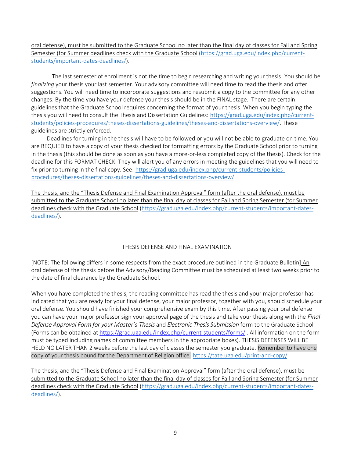oral defense), must be submitted to the Graduate School no later than the final day of classes for Fall and Spring Semester (for Summer deadlines check with the Graduate School [\(https://grad.uga.edu/index.php/current](https://grad.uga.edu/index.php/current-students/important-dates-deadlines/)[students/important-dates-deadlines/\)](https://grad.uga.edu/index.php/current-students/important-dates-deadlines/).

The last semester of enrollment is not the time to begin researching and writing your thesis! You should be *finalizing* your thesis your last semester. Your advisory committee will need time to read the thesis and offer suggestions. You will need time to incorporate suggestions and resubmit a copy to the committee for any other changes. By the time you have your defense your thesis should be in the FINAL stage. There are certain guidelines that the Graduate School requires concerning the format of your thesis. When you begin typing the thesis you will need to consult the Thesis and Dissertation Guidelines: [https://grad.uga.edu/index.php/current](https://grad.uga.edu/index.php/current-students/policies-procedures/theses-dissertations-guidelines/theses-and-dissertations-overview/)[students/policies-procedures/theses-dissertations-guidelines/theses-and-dissertations-overview/.](https://grad.uga.edu/index.php/current-students/policies-procedures/theses-dissertations-guidelines/theses-and-dissertations-overview/) These guidelines are strictly enforced.

Deadlines for turning in the thesis will have to be followed or you will not be able to graduate on time. You are REQUIED to have a copy of your thesis checked for formatting errors by the Graduate School prior to turning in the thesis (this should be done as soon as you have a more-or-less completed copy of the thesis). Check for the deadline for this FORMAT CHECK. They will alert you of any errors in meeting the guidelines that you will need to fix prior to turning in the final copy. See: [https://grad.uga.edu/index.php/current-students/policies](https://grad.uga.edu/index.php/current-students/policies-procedures/theses-dissertations-guidelines/theses-and-dissertations-overview/)[procedures/theses-dissertations-guidelines/theses-and-dissertations-overview/](https://grad.uga.edu/index.php/current-students/policies-procedures/theses-dissertations-guidelines/theses-and-dissertations-overview/)

The thesis, and the "Thesis Defense and Final Examination Approval" form (after the oral defense), must be submitted to the Graduate School no later than the final day of classes for Fall and Spring Semester (for Summer deadlines check with the Graduate School [\(https://grad.uga.edu/index.php/current-students/important-dates](https://grad.uga.edu/index.php/current-students/important-dates-deadlines/)[deadlines/\)](https://grad.uga.edu/index.php/current-students/important-dates-deadlines/).

# THESIS DEFENSE AND FINAL EXAMINATION

[NOTE: The following differs in some respects from the exact procedure outlined in the Graduate Bulletin] An oral defense of the thesis before the Advisory/Reading Committee must be scheduled at least two weeks prior to the date of final clearance by the Graduate School.

When you have completed the thesis, the reading committee has read the thesis and your major professor has indicated that you are ready for your final defense, your major professor, together with you, should schedule your oral defense. You should have finished your comprehensive exam by this time. After passing your oral defense you can have your major professor sign your approval page of the thesis and take your thesis along with the *Final Defense Approval Form for your Master's Thesis* and *Electronic Thesis Submission* form to the Graduate School (Forms can be obtained at [https://grad.uga.edu/index.php/current-students/forms/](http://grad.uga.edu/index.php/current-students/forms/) . All information on the form must be typed including names of committee members in the appropriate boxes). THESIS DEFENSES WILL BE HELD NO LATER THAN 2 weeks before the last day of classes the semester you graduate. Remember to have one copy of your thesis bound for the Department of Religion office. <https://tate.uga.edu/print-and-copy/>

The thesis, and the "Thesis Defense and Final Examination Approval" form (after the oral defense), must be submitted to the Graduate School no later than the final day of classes for Fall and Spring Semester (for Summer deadlines check with the Graduate School [\(https://grad.uga.edu/index.php/current-students/important-dates](https://grad.uga.edu/index.php/current-students/important-dates-deadlines/)[deadlines/\)](https://grad.uga.edu/index.php/current-students/important-dates-deadlines/).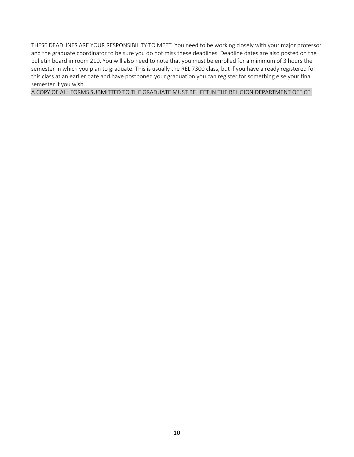THESE DEADLINES ARE YOUR RESPONSIBILITY TO MEET. You need to be working closely with your major professor and the graduate coordinator to be sure you do not miss these deadlines. Deadline dates are also posted on the bulletin board in room 210. You will also need to note that you must be enrolled for a minimum of 3 hours the semester in which you plan to graduate. This is usually the REL 7300 class, but if you have already registered for this class at an earlier date and have postponed your graduation you can register for something else your final semester if you wish.

A COPY OF ALL FORMS SUBMITTED TO THE GRADUATE MUST BE LEFT IN THE RELIGION DEPARTMENT OFFICE.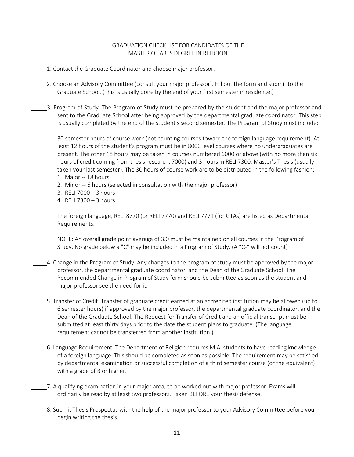### GRADUATION CHECK LIST FOR CANDIDATES OF THE MASTER OF ARTS DEGREE IN RELIGION

- 1. Contact the Graduate Coordinator and choose major professor.
- 2. Choose an Advisory Committee (consult your major professor). Fill out the form and submit to the Graduate School. (This is usually done by the end of your first semester inresidence.)
- 3. Program of Study. The Program of Study must be prepared by the student and the major professor and sent to the Graduate School after being approved by the departmental graduate coordinator. This step is usually completed by the end of the student's second semester. The Program of Study must include:

30 semester hours of course work (not counting courses toward the foreign language requirement). At least 12 hours of the student's program must be in 8000 level courses where no undergraduates are present. The other 18 hours may be taken in courses numbered 6000 or above (with no more than six hours of credit coming from thesis research, 7000) and 3 hours in RELI 7300, Master's Thesis (usually taken your last semester). The 30 hours of course work are to be distributed in the following fashion:

- 1. Major -- 18 hours
- 2. Minor -- 6 hours (selected in consultation with the major professor)
- 3. RELI 7000 3 hours
- 4. RELI 7300 3 hours

The foreign language, RELI 8770 (or RELI 7770) and RELI 7771 (for GTAs) are listed as Departmental Requirements.

NOTE: An overall grade point average of 3.0 must be maintained on all courses in the Program of Study. No grade below a "C" may be included in a Program of Study. (A "C-" will not count)

- 4. Change in the Program of Study. Any changes to the program of study must be approved by the major professor, the departmental graduate coordinator, and the Dean of the Graduate School. The Recommended Change in Program of Study form should be submitted as soon as the student and major professor see the need for it.
- 5. Transfer of Credit. Transfer of graduate credit earned at an accredited institution may be allowed (up to 6 semester hours) if approved by the major professor, the departmental graduate coordinator, and the Dean of the Graduate School. The Request for Transfer of Credit and an official transcript must be submitted at least thirty days prior to the date the student plans to graduate. (The language requirement cannot be transferred from another institution.)
- 6. Language Requirement. The Department of Religion requires M.A. students to have reading knowledge of a foreign language. This should be completed as soon as possible. The requirement may be satisfied by departmental examination or successful completion of a third semester course (or the equivalent) with a grade of B or higher.
- 7. A qualifying examination in your major area, to be worked out with major professor. Exams will ordinarily be read by at least two professors. Taken BEFORE your thesis defense.
- 8. Submit Thesis Prospectus with the help of the major professor to your Advisory Committee before you begin writing the thesis.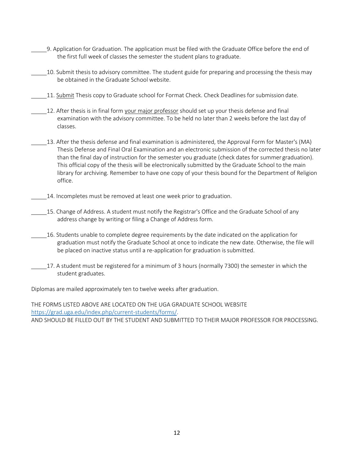- 9. Application for Graduation. The application must be filed with the Graduate Office before the end of the first full week of classes the semester the student plans to graduate.
- 10. Submit thesis to advisory committee. The student guide for preparing and processing the thesis may be obtained in the Graduate School website.
- 11. Submit Thesis copy to Graduate school for Format Check. Check Deadlines for submission date.
- 12. After thesis is in final form your major professor should set up your thesis defense and final examination with the advisory committee. To be held no later than 2 weeks before the last day of classes.
- 13. After the thesis defense and final examination is administered, the Approval Form for Master's (MA) Thesis Defense and Final Oral Examination and an electronic submission of the corrected thesis no later than the final day of instruction for the semester you graduate (check dates for summer graduation). This official copy of the thesis will be electronically submitted by the Graduate School to the main library for archiving. Remember to have one copy of your thesis bound for the Department of Religion office.
- 14. Incompletes must be removed at least one week prior to graduation.
- 15. Change of Address. A student must notify the Registrar's Office and the Graduate School of any address change by writing or filing a Change of Address form.
- 16. Students unable to complete degree requirements by the date indicated on the application for graduation must notify the Graduate School at once to indicate the new date. Otherwise, the file will be placed on inactive status until a re-application for graduation is submitted.
- 17. A student must be registered for a minimum of 3 hours (normally 7300) the semester in which the student graduates.

Diplomas are mailed approximately ten to twelve weeks after graduation.

THE FORMS LISTED ABOVE ARE LOCATED ON THE UGA GRADUATE SCHOOL WEBSITE [https://grad.uga.edu/index.php/current-students/forms/.](https://grad.uga.edu/index.php/current-students/forms/) AND SHOULD BE FILLED OUT BY THE STUDENT AND SUBMITTED TO THEIR MAJOR PROFESSOR FOR PROCESSING.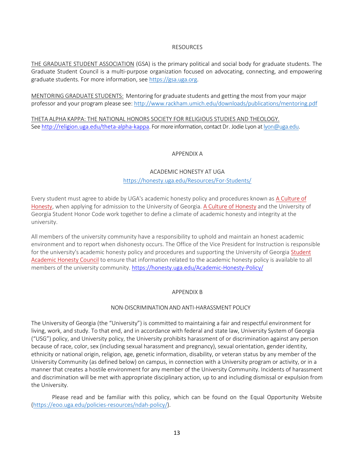### RESOURCES

THE GRADUATE STUDENT ASSOCIATION (GSA) is the primary political and social body for graduate students. The Graduate Student Council is a multi-purpose organization focused on advocating, connecting, and empowering graduate students. For more information, see [https://gsa.uga.org.](https://gsa.uga.org/)

MENTORING GRADUATE STUDENTS: Mentoring for graduate students and getting the most from your major professor and your program please see:<http://www.rackham.umich.edu/downloads/publications/mentoring.pdf>

THETA ALPHA KAPPA: THE NATIONAL HONORS SOCIETY FOR RELIGIOUS STUDIES AND THEOLOGY. See [http://religion.uga.edu/theta-alpha-kappa.](http://religion.uga.edu/theta-alpha-kappa) For more information, contact Dr. Jodie Lyon at [lyon@uga.edu.](mailto:lyon@uga.edu)

# APPENDIX A

#### ACADEMIC HONESTY AT UGA

# <https://honesty.uga.edu/Resources/For-Students/>

Every student must agree to abide by UGA's academic honesty policy and procedures known as [A Culture of](https://ovpi.uga.edu/academic-honesty/academic-honesty-policy) [Honesty, w](https://ovpi.uga.edu/academic-honesty/academic-honesty-policy)hen applying for admission to the University of Georgia[. A Culture of](https://ovpi.uga.edu/academic-honesty/academic-honesty-policy) Honesty and the University of Georgia Student Honor Code work together to define a climate of academic honesty and integrity at the university.

All members of the university community have a responsibility to uphold and maintain an honest academic environment and to report when dishonesty occurs. The Office of the Vice President for Instruction is responsible for the university's academic honesty policy and procedures and supporting the University of Georgia [Student](https://ovpi.uga.edu/academic-honesty/student-academic-honesty-council) [Academic Honesty Council](https://ovpi.uga.edu/academic-honesty/student-academic-honesty-council) to ensure that information related to the academic honesty policy is available to all members of the university community.<https://honesty.uga.edu/Academic-Honesty-Policy/>

#### APPENDIX B

#### NON-DISCRIMINATION AND ANTI-HARASSMENT POLICY

The University of Georgia (the "University") is committed to maintaining a fair and respectful environment for living, work, and study. To that end, and in accordance with federal and state law, University System of Georgia ("USG") policy, and University policy, the University prohibits harassment of or discrimination against any person because of race, color, sex (including sexual harassment and pregnancy), sexual orientation, gender identity, ethnicity or national origin, religion, age, genetic information, disability, or veteran status by any member of the University Community (as defined below) on campus, in connection with a University program or activity, or in a manner that creates a hostile environment for any member of the University Community. Incidents of harassment and discrimination will be met with appropriate disciplinary action, up to and including dismissal or expulsion from the University.

Please read and be familiar with this policy, which can be found on the Equal Opportunity Website [\(https://eoo.uga.edu/policies-resources/ndah-policy/\)](https://eoo.uga.edu/policies-resources/ndah-policy/).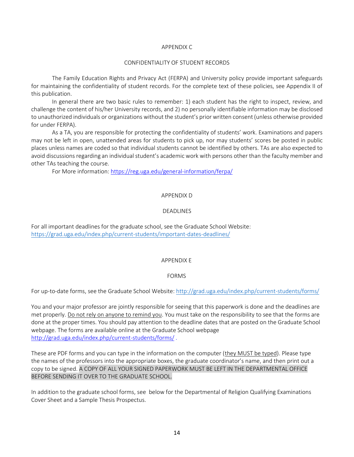#### APPENDIX C

#### CONFIDENTIALITY OF STUDENT RECORDS

The Family Education Rights and Privacy Act (FERPA) and University policy provide important safeguards for maintaining the confidentiality of student records. For the complete text of these policies, see Appendix II of this publication.

In general there are two basic rules to remember: 1) each student has the right to inspect, review, and challenge the content of his/her University records, and 2) no personally identifiable information may be disclosed to unauthorized individuals or organizations without the student's prior written consent(unless otherwise provided for under FERPA).

As a TA, you are responsible for protecting the confidentiality of students' work. Examinations and papers may not be left in open, unattended areas for students to pick up, nor may students' scores be posted in public places unless names are coded so that individual students cannot be identified by others. TAs are also expected to avoid discussions regarding an individual student's academic work with persons other than the faculty member and other TAs teaching the course.

For More information[: https://reg.uga.edu/general-information/ferpa/](https://reg.uga.edu/general-information/ferpa/)

# APPENDIX D

# DEADLINES

For all important deadlines for the graduate school, see the Graduate School Website: <https://grad.uga.edu/index.php/current-students/important-dates-deadlines/>

#### APPENDIX E

#### FORMS

For up-to-date forms, see the Graduate School Website[: http://grad.uga.edu/index.php/current-students/forms/](http://grad.uga.edu/index.php/current-students/forms/)

You and your major professor are jointly responsible for seeing that this paperwork is done and the deadlines are met properly. Do not rely on anyone to remind you. You must take on the responsibility to see that the forms are done at the proper times. You should pay attention to the deadline dates that are posted on the Graduate School webpage. The forms are available online at the Graduate School webpage <http://grad.uga.edu/index.php/current-students/forms/> .

These are PDF forms and you can type in the information on the computer (they MUST be typed). Please type the names of the professors into the appropriate boxes, the graduate coordinator's name, and then print out a copy to be signed. A COPY OF ALL YOUR SIGNED PAPERWORK MUST BE LEFT IN THE DEPARTMENTAL OFFICE BEFORE SENDING IT OVER TO THE GRADUATE SCHOOL.

In addition to the graduate school forms, see below for the Departmental of Religion Qualifying Examinations Cover Sheet and a Sample Thesis Prospectus.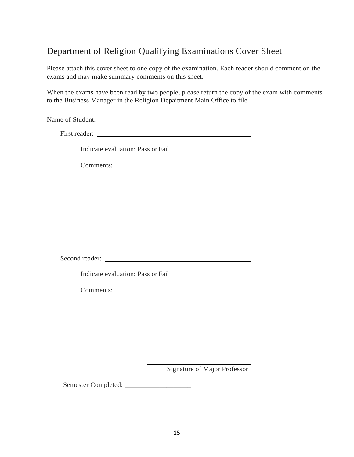# Department of Religion Qualifying Examinations Cover Sheet

Please attach this cover sheet to one copy of the examination. Each reader should comment on the exams and may make summary comments on this sheet.

When the exams have been read by two people, please return the copy of the exam with comments to the Business Manager in the Religion Depaitment Main Office to file.

Name of Student: \_\_\_\_\_\_\_\_\_\_\_\_\_\_\_\_\_\_\_\_\_\_\_\_\_\_\_\_\_\_\_\_\_\_\_\_\_\_\_\_\_\_\_

First reader:

Indicate evaluation: Pass or Fail

Comments:

Second reader:

Indicate evaluation: Pass or Fail

Comments:

Signature of Major Professor

Semester Completed: \_\_\_\_\_\_\_\_\_\_\_\_\_\_\_\_\_\_\_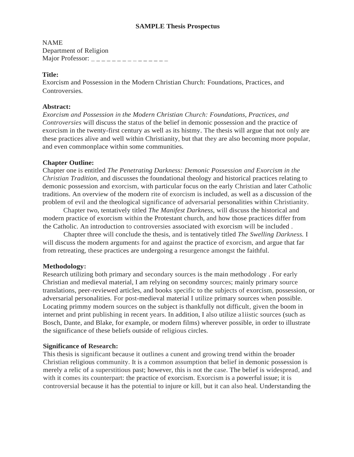#### **SAMPLE Thesis Prospectus**

NAME Department of Religion Major Professor:  $\frac{1}{2}$  \_ \_ \_ \_ \_ \_ \_ \_ \_ \_ \_ \_ \_ \_ \_

### **Title:**

Exorcism and Possession in the Modern Christian Church: Foundations, Practices, and Controversies.

### **Abstract:**

*Exorcism and Possession in the Modern Christian Church: Foundations, Practices, and Controversies* will discuss the status of the belief in demonic possession and the practice of exorcism in the twenty-first century as well as its histmy. The thesis will argue that not only are these practices alive and well within Christianity, but that they are also becoming more popular, and even commonplace within some communities.

# **Chapter Outline:**

Chapter one is entitled *The Penetrating Darkness: Demonic Possession and Exorcism in the Christian Tradition,* and discusses the foundational theology and historical practices relating to demonic possession and exorcism, with particular focus on the early Christian and later Catholic traditions. An overview of the modern rite of exorcism is included, as well as a discussion of the problem of evil and the theological significance of adversarial personalities within Christianity.

Chapter two, tentatively titled *The Manifest Darkness,* will discuss the historical and modern practice of exorcism within the Protestant church, and how those practices differ from the Catholic. An introduction to controversies associated with exorcism will be included .

Chapter three will conclude the thesis, and is tentatively titled *The Swelling Darkness.* I will discuss the modern arguments for and against the practice of exorcism, and argue that far from retreating, these practices are undergoing a resurgence amongst the faithful.

# **Methodology:**

Research utilizing both primary and secondary sources is the main methodology . For early Christian and medieval material, I am relying on secondmy sources; mainly primary source translations, peer-reviewed articles, and books specific to the subjects of exorcism, possession, or adversarial personalities. For post-medieval material I utilize primary sources when possible. Locating primmy modern sources on the subject is thankfully not difficult, given the boom in internet and print publishing in recent years. In addition, I also utilize a liistic sources (such as Bosch, Dante, and Blake, for example, or modern films) wherever possible, in order to illustrate the significance of these beliefs outside of religious circles.

#### **Significance of Research:**

This thesis is significant because it outlines a cunent and growing trend within the broader Christian religious community. It is a common assumption that belief in demonic possession is merely a relic of a superstitious past; however, this is not the case. The belief is widespread, and with it comes its counterpart: the practice of exorcism. Exorcism is a powerful issue; it is controversial because it has the potential to injure or kill, but it can also heal. Understanding the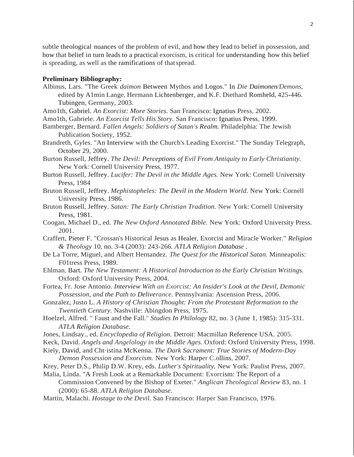subtle theological nuances of the problem of evil, and how they lead to belief in possession, and how that belief in turn leads to a practical exorcism, is critical for understanding how this belief is spreading, as well as the ramifications of thatspread.

#### **Preliminary Bibliography:**

- Albinus, Lars. "The Greek *daimon* Between Mythos and Logos." In *Die Daimonen/Demons,*  edited by A1min Lange, Hermann Lichtenberger, and K.F. Diethard Romheld, 425-446. Tubingen, Germany, 2003.
- Amo1th, Gabriel. *An Exorcist: More Stories.* San Francisco: Ignatius Press, 2002.
- Amo1th, Gabriele. *An Exorcist Tells His Story.* San Francisco: Ignatius Press, 1999.
- Bamberger, Bernard. *Fallen Angels: Soldiers of Satan's Realm.* Philadelphia: The Jewish Publication Society, 1952.
- Brandreth, Gyles. "An Interview with the Church's Leading Exorcist." The Sunday Telegraph, October 29, 2000.
- Burton Russell, Jeffrey. *The Devil: Perceptions of Evil From Antiquity to Early Christianity.* New York: Cornell University Press, 1977.
- Burton Russell, Jeffrey. *Lucifer: The Devil in the Middle Ages.* New York: Cornell University Press, 1984
- Bruton Russell, Jeffrey. *Mephistopheles: The Devil in the Modern World.* New York: Cornell University Press, 1986.
- Bruton Russell, Jeffrey. *Satan: The Early Christian Tradition.* New York: Cornell University Press, 1981.
- Coogan, Michael D., ed. *The New Oxford Annotated Bible.* New York: Oxford University Press. 2001.
- Craffert, Pieter F. "Crossan's Historical Jesus as Healer, Exorcist and Miracle Worker." *Religion & Theology* 10, no. 3-4 (2003): 243-266. *ATLA Religion Database .*
- De La Torre, Miguel, and Albert Hernandez. *The Quest for the Historical Satan.* Minneapolis: F01tress Press, 1989.
- Ehlman, Bart. *The New Testament: A Historical Introduction to the Early Christian Writings.* Oxford: Oxford University Press, 2004.
- Fortea, Fr. Jose Antonio. *Interview With an Exorcist: An Insider's Look at the Devil, Demonic Possession, and the Path to Deliverance.* Pennsylvania: Ascension Press, 2006.
- Gonzalez, Justo L. *A History of Christian Thought: From the Protestant Reformation to the Twentieth Century.* Nashville: Abingdon Press, 1975.
- Hoelzel, Alfred. " Faust and the Fall." *Studies In Philology* 82, no. 3 (June 1, 1985): 315-331. *ATLA Religion Database.*
- Jones, Lindsay., ed. *Encyclopedia of Religion.* Detroit: Macmillan Reference USA. 2005.
- Keck, David. *Angels and Angelology in the Middle Ages.* Oxford: Oxford University Press, 1998.
- Kiely, David, and Cht·istina McKenna. *The Dark Sacrament: True Stories of Modern-Day Demon Possession and Exorcism.* New York: Harper C.ollins, 2007.
- Krey, Peter D.S., Philip D.W. Krey, eds. *Luther's Spirituality.* New York: Paulist Press, 2007.
- Malia, Linda. "A Fresh Look at a Remarkable Document: Exorcism: The Report of a Commission Convened by the Bishop of Exeter." *Anglican Theological Review* 83, no. 1 (2000): 65-88. *ATLA Religion Database.*
- Martin, Malachi. *Hostage to the Devil.* San Francisco: Harper San Francisco, 1976.